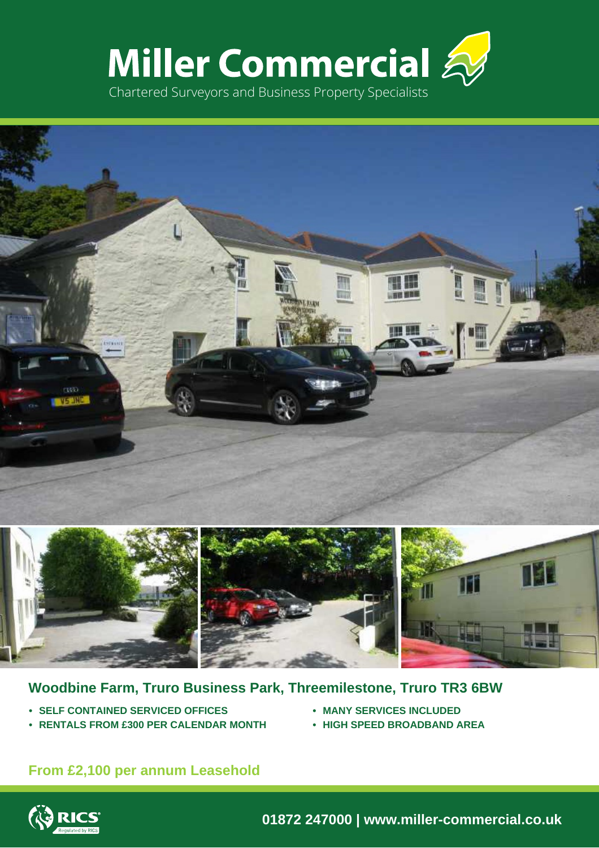





# **Woodbine Farm, Truro Business Park, Threemilestone, Truro TR3 6BW**

- **• SELF CONTAINED SERVICED OFFICES**
- **• RENTALS FROM £300 PER CALENDAR MONTH**
- **• MANY SERVICES INCLUDED**
- **• HIGH SPEED BROADBAND AREA**

# **From £2,100 per annum Leasehold**



**01872 247000 | www.miller-commercial.co.uk**